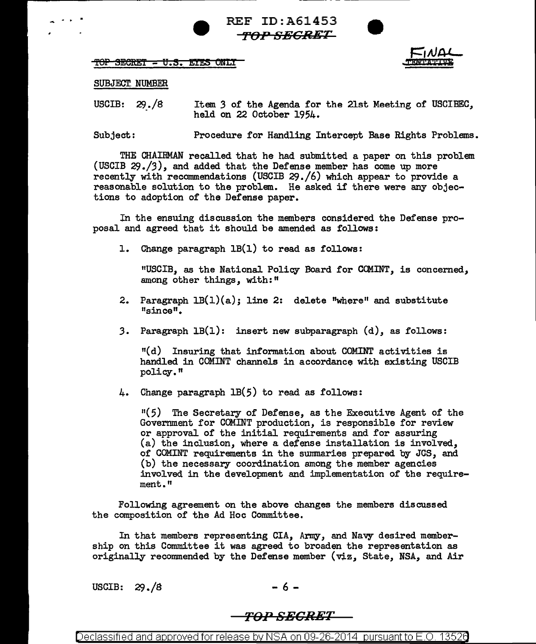REF ID:A61453 *TOP SECRET* 





## SUBJECT. NUMBER

USCIB: 29./8 Item 3 of the Agenda for the 21st Meeting of USCIBEC, held on 22 October 1954.

Subject: Procedure for Handling Intercept Base Rights Problems.

THE CHAIRMAN recalled that he had submitted a paper on this problem (USCIB 29./3), and added that the Defense member has come up more recently with recommendations (USCIB 29./6) which appear to provide a reasonable solution to the problem. He asked if there were any objections to adoption of the Defense paper.

In the ensuing discussion the members considered the Defense proposal and agreed that it should be amended as follows:

1. Change paragraph lB(l) to read as follows:

11USCIB, as the National Policy Board for COMINT, is concerned, among other things, with:"

- 2. Paragraph  $LB(1)(a)$ ; line 2: delete "where" and substitute "since".
- *3.* Paragraph lB(l): insert new subparagraph (d), as follows:

 $<sup>11</sup>(d)$  Insuring that information about COMINT activities is</sup> handled in COMINT channels in accordance with existing USCIB policy."

4. Change paragraph 1B(5) to read as follows:

 $11(5)$  The Secretary of Defense, as the Executive Agent of the Government for COMINT production, is responsible for review or approval of the initial requirements and for assuring  $(a)$  the inclusion, where a defense installation is involved, of COMINT requirements in the swmnaries prepared by JCS, and (b) the necessary coordination among the member agencies involved in the development and implementation of the requirement."

Following agreement on the above changes the members discussed the composition of the Ad Hoc Committee.

In that members representing CIA, Army, and Navy desired membership on this Committee it was agreed to broaden the representation as originally recommended by the Defense member ( $viz$ , State, NSA, and Air

USCIB:  $29 \cdot 8$  - 6 -

## *TOP SECRET*

Declassified and approved for release by NSA on 09-26-2014 pursuant to E.O. 13520